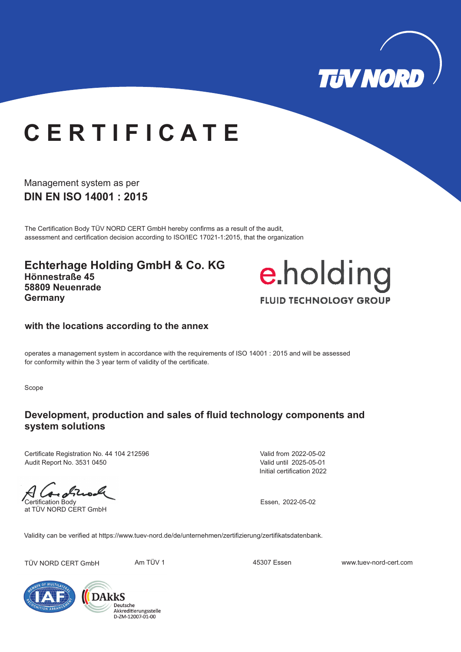

# **C E R T I F I C A T E**

Management system as per **DIN EN ISO 14001 : 2015** 

The Certification Body TÜV NORD CERT GmbH hereby confirms as a result of the audit, assessment and certification decision according to ISO/IEC 17021-1:2015, that the organization

**Echterhage Holding GmbH & Co. KG Hönnestraße 45 58809 Neuenrade Germany**



#### **with the locations according to the annex**

operates a management system in accordance with the requirements of ISO 14001 : 2015 and will be assessed for conformity within the 3 year term of validity of the certificate.

Scope

### **Development, production and sales of fluid technology components and system solutions**

Certificate Registration No. 44 104 212596 Audit Report No. 3531 0450

 $-652$ Certification Body Essen, 2022-05-02

at TÜV NORD CERT GmbH

Initial certification 2022 Valid from 2022-05-02 Valid until 2025-05-01

Validity can be verified at https://www.tuev-nord.de/de/unternehmen/zertifizierung/zertifikatsdatenbank.

TÜV NORD CERT GmbH Am TÜV 1 45307 Essen www.tuev-nord-cert.com